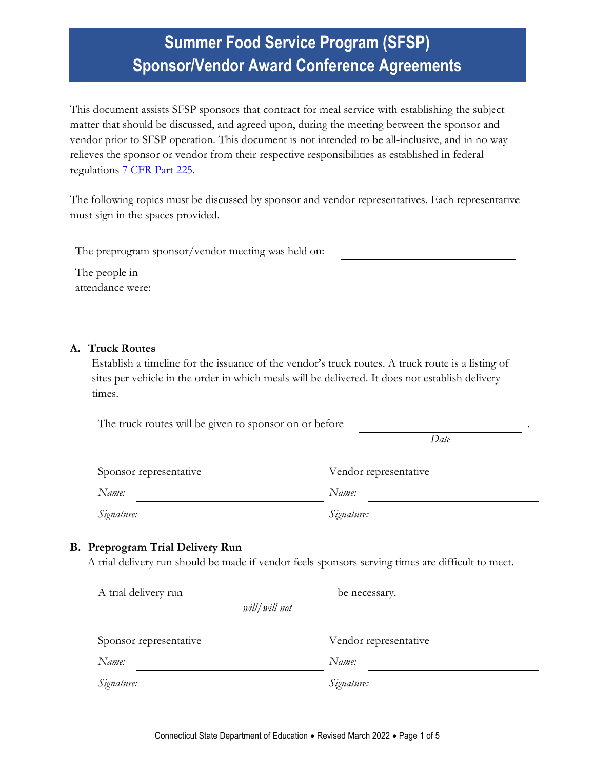# **Summer Food Service Program (SFSP) Sponsor/Vendor Award Conference Agreements**

This document assists SFSP sponsors that contract for meal service with establishing the subject matter that should be discussed, and agreed upon, during the meeting between the sponsor and vendor prior to SFSP operation. This document is not intended to be all-inclusive, and in no way relieves the sponsor or vendor from their respective responsibilities as established in federal regulations [7 CFR Part 225.](https://www.ecfr.gov/current/title-7/subtitle-B/chapter-II/subchapter-A/part-225#part-225)

The following topics must be discussed by sponsor and vendor representatives. Each representative must sign in the spaces provided.

The preprogram sponsor/vendor meeting was held on:

The people in attendance were:

### **A. Truck Routes**

Establish a timeline for the issuance of the vendor's truck routes. A truck route is a listing of sites per vehicle in the order in which meals will be delivered. It does not establish delivery times.

The truck routes will be given to sponsor on or before

*Date*

| Sponsor representative | Vendor representative |
|------------------------|-----------------------|
| Name:                  | Name:                 |
| Signature:             | Signature:            |

### **B. Preprogram Trial Delivery Run**

A trial delivery run should be made if vendor feels sponsors serving times are difficult to meet.

| A trial delivery run   | be necessary.         |
|------------------------|-----------------------|
| will/will not          |                       |
|                        |                       |
| Sponsor representative | Vendor representative |
| Name:                  | Name:                 |
| Signature:             | Signature:            |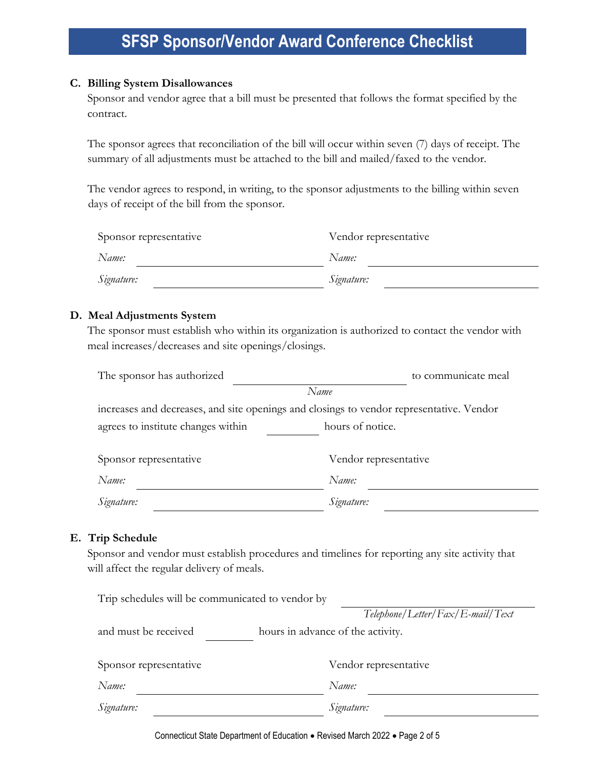### **C. Billing System Disallowances**

Sponsor and vendor agree that a bill must be presented that follows the format specified by the contract.

The sponsor agrees that reconciliation of the bill will occur within seven (7) days of receipt. The summary of all adjustments must be attached to the bill and mailed/faxed to the vendor.

The vendor agrees to respond, in writing, to the sponsor adjustments to the billing within seven days of receipt of the bill from the sponsor.

| Sponsor representative | Vendor representative |  |
|------------------------|-----------------------|--|
| Name:                  | Name:                 |  |
| Signature:             | Signature:            |  |

### **D. Meal Adjustments System**

The sponsor must establish who within its organization is authorized to contact the vendor with meal increases/decreases and site openings/closings.

| The sponsor has authorized                                                               | to communicate meal   |  |  |
|------------------------------------------------------------------------------------------|-----------------------|--|--|
| Name                                                                                     |                       |  |  |
| increases and decreases, and site openings and closings to vendor representative. Vendor |                       |  |  |
| agrees to institute changes within<br>hours of notice.                                   |                       |  |  |
|                                                                                          |                       |  |  |
| Sponsor representative                                                                   | Vendor representative |  |  |
| Name:                                                                                    | Name:                 |  |  |
| Signature:                                                                               | Signature:            |  |  |

#### **E. Trip Schedule**

Sponsor and vendor must establish procedures and timelines for reporting any site activity that will affect the regular delivery of meals.

| Trip schedules will be communicated to vendor by          |                                  |  |
|-----------------------------------------------------------|----------------------------------|--|
|                                                           | Telephone/Letter/Fax/E-mail/Text |  |
| and must be received<br>hours in advance of the activity. |                                  |  |
|                                                           |                                  |  |
| Sponsor representative                                    | Vendor representative            |  |
| Name:                                                     | Name:                            |  |
| Signature:                                                | Signature:                       |  |

Connecticut State Department of Education • Revised March 2022 • Page 2 of 5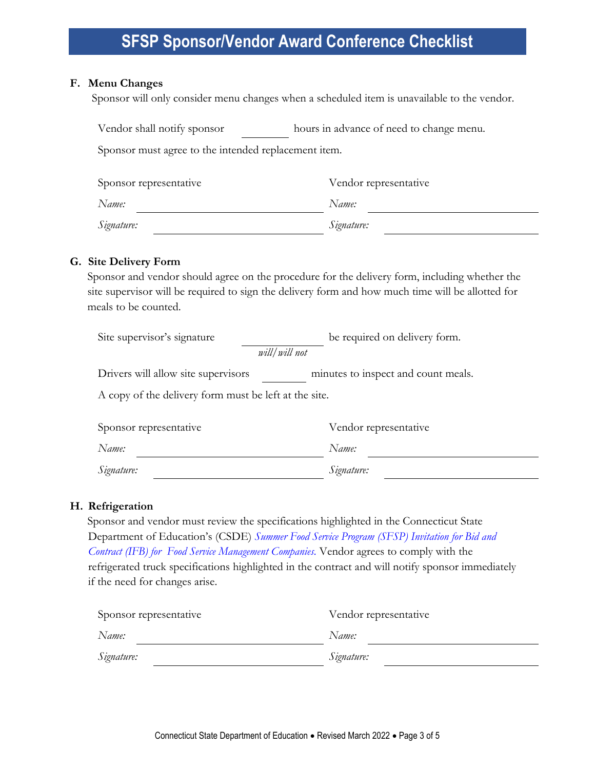#### **F. Menu Changes**

Sponsor will only consider menu changes when a scheduled item is unavailable to the vendor.

| Vendor shall notify sponsor                          | hours in advance of need to change menu. |  |
|------------------------------------------------------|------------------------------------------|--|
| Sponsor must agree to the intended replacement item. |                                          |  |
| Sponsor representative                               | Vendor representative                    |  |

| Name:      | Name:      |
|------------|------------|
| Signature: | Signature: |

### **G. Site Delivery Form**

Sponsor and vendor should agree on the procedure for the delivery form, including whether the site supervisor will be required to sign the delivery form and how much time will be allotted for meals to be counted.

| Site supervisor's signature                           | be required on delivery form.       |  |  |
|-------------------------------------------------------|-------------------------------------|--|--|
| will/will not                                         |                                     |  |  |
| Drivers will allow site supervisors                   | minutes to inspect and count meals. |  |  |
| A copy of the delivery form must be left at the site. |                                     |  |  |
| Sponsor representative                                | Vendor representative               |  |  |
| Name:                                                 | Name:                               |  |  |

*Signature: Signature:*

### **H. Refrigeration**

Sponsor and vendor must review the specifications highlighted in the Connecticut State Department of Education's (CSDE) *[Summer Food Service Program \(SFSP\) Invitation for Bid and](https://portal.ct.gov/-/media/SDE/Nutrition/FSMC/SFSP_Invitation_for_Bid_and_Contract_FSMC.pdf)  [Contract \(IFB\) for Food Service Management Companies.](https://portal.ct.gov/-/media/SDE/Nutrition/FSMC/SFSP_Invitation_for_Bid_and_Contract_FSMC.pdf)* Vendor agrees to comply with the refrigerated truck specifications highlighted in the contract and will notify sponsor immediately if the need for changes arise.

| Sponsor representative | Vendor representative |  |
|------------------------|-----------------------|--|
| Name:                  | Name:                 |  |
| Signature:             | Signature:            |  |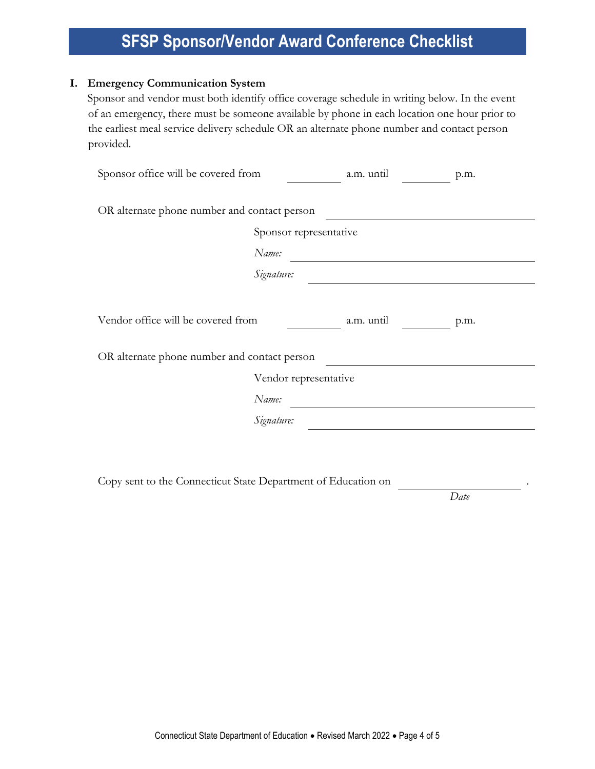### **I. Emergency Communication System**

Sponsor and vendor must both identify office coverage schedule in writing below. In the event of an emergency, there must be someone available by phone in each location one hour prior to the earliest meal service delivery schedule OR an alternate phone number and contact person provided.

| Sponsor office will be covered from                      |                        | a.m. until | p.m. |
|----------------------------------------------------------|------------------------|------------|------|
| OR alternate phone number and contact person             |                        |            |      |
|                                                          | Sponsor representative |            |      |
|                                                          | Name:                  |            |      |
|                                                          | Signature:             |            |      |
|                                                          |                        |            |      |
| Vendor office will be covered from<br>a.m. until<br>p.m. |                        |            |      |
| OR alternate phone number and contact person             |                        |            |      |
| Vendor representative                                    |                        |            |      |
|                                                          | Name:                  |            |      |
|                                                          | Signature:             |            |      |
|                                                          |                        |            |      |
|                                                          |                        |            |      |

Copy sent to the Connecticut State Department of Education on .

*Date*